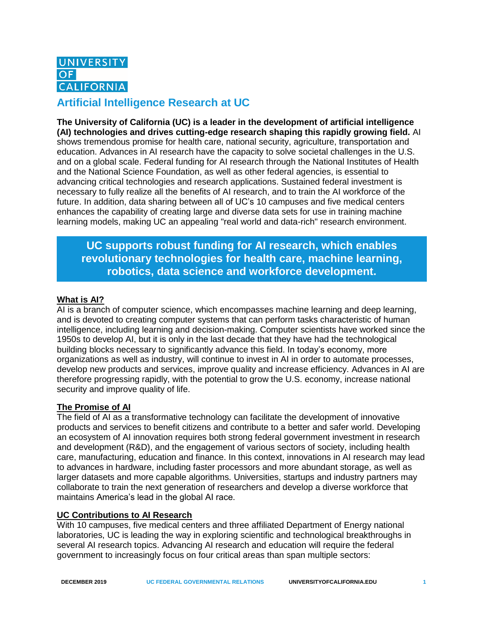

# **Artificial Intelligence Research at UC**

**The University of California (UC) is a leader in the development of artificial intelligence (AI) technologies and drives cutting-edge research shaping this rapidly growing field.** AI shows tremendous promise for health care, national security, agriculture, transportation and education. Advances in AI research have the capacity to solve societal challenges in the U.S. and on a global scale. Federal funding for AI research through the National Institutes of Health and the National Science Foundation, as well as other federal agencies, is essential to advancing critical technologies and research applications. Sustained federal investment is necessary to fully realize all the benefits of AI research, and to train the AI workforce of the future. In addition, data sharing between all of UC's 10 campuses and five medical centers enhances the capability of creating large and diverse data sets for use in training machine learning models, making UC an appealing "real world and data-rich" research environment.

# **UC supports robust funding for AI research, which enables revolutionary technologies for health care, machine learning, robotics, data science and workforce development.**

### **What is AI?**

AI is a branch of computer science, which encompasses machine learning and deep learning, and is devoted to creating computer systems that can perform tasks characteristic of human intelligence, including learning and decision-making. Computer scientists have worked since the 1950s to develop AI, but it is only in the last decade that they have had the technological building blocks necessary to significantly advance this field. In today's economy, more organizations as well as industry, will continue to invest in AI in order to automate processes, develop new products and services, improve quality and increase efficiency. Advances in AI are therefore progressing rapidly, with the potential to grow the U.S. economy, increase national security and improve quality of life.

#### **The Promise of AI**

The field of AI as a transformative technology can facilitate the development of innovative products and services to benefit citizens and contribute to a better and safer world. Developing an ecosystem of AI innovation requires both strong federal government investment in research and development (R&D), and the engagement of various sectors of society, including health care, manufacturing, education and finance. In this context, innovations in AI research may lead to advances in hardware, including faster processors and more abundant storage, as well as larger datasets and more capable algorithms. Universities, startups and industry partners may collaborate to train the next generation of researchers and develop a diverse workforce that maintains America's lead in the global AI race.

#### **UC Contributions to AI Research**

With 10 campuses, five medical centers and three affiliated Department of Energy national laboratories, UC is leading the way in exploring scientific and technological breakthroughs in several AI research topics. Advancing AI research and education will require the federal government to increasingly focus on four critical areas than span multiple sectors: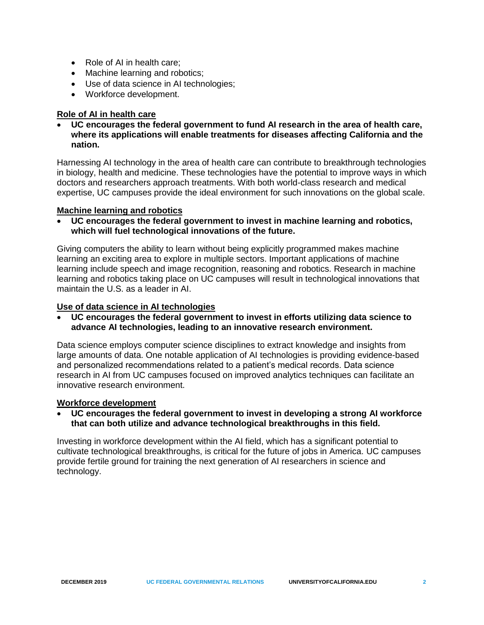- Role of AI in health care:
- Machine learning and robotics;
- Use of data science in AI technologies;
- Workforce development.

## **Role of AI in health care**

• **UC encourages the federal government to fund AI research in the area of health care, where its applications will enable treatments for diseases affecting California and the nation.** 

Harnessing AI technology in the area of health care can contribute to breakthrough technologies in biology, health and medicine. These technologies have the potential to improve ways in which doctors and researchers approach treatments. With both world-class research and medical expertise, UC campuses provide the ideal environment for such innovations on the global scale.

## **Machine learning and robotics**

• **UC encourages the federal government to invest in machine learning and robotics, which will fuel technological innovations of the future.**

Giving computers the ability to learn without being explicitly programmed makes machine learning an exciting area to explore in multiple sectors. Important applications of machine learning include speech and image recognition, reasoning and robotics. Research in machine learning and robotics taking place on UC campuses will result in technological innovations that maintain the U.S. as a leader in AI.

### **Use of data science in AI technologies**

• **UC encourages the federal government to invest in efforts utilizing data science to advance AI technologies, leading to an innovative research environment.**

Data science employs computer science disciplines to extract knowledge and insights from large amounts of data. One notable application of AI technologies is providing evidence-based and personalized recommendations related to a patient's medical records. Data science research in AI from UC campuses focused on improved analytics techniques can facilitate an innovative research environment.

### **Workforce development**

#### • **UC encourages the federal government to invest in developing a strong AI workforce that can both utilize and advance technological breakthroughs in this field.**

Investing in workforce development within the AI field, which has a significant potential to cultivate technological breakthroughs, is critical for the future of jobs in America. UC campuses provide fertile ground for training the next generation of AI researchers in science and technology.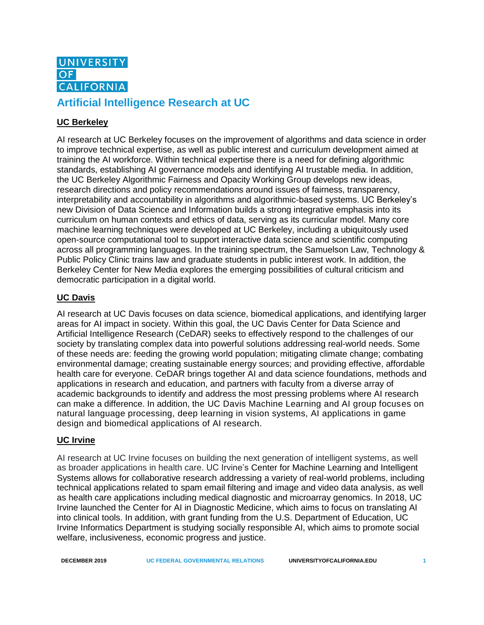

# **Artificial Intelligence Research at UC**

# **UC Berkeley**

AI research at UC Berkeley focuses on the improvement of algorithms and data science in order to improve technical expertise, as well as public interest and curriculum development aimed at training the AI workforce. Within technical expertise there is a need for defining algorithmic standards, establishing AI governance models and identifying AI trustable media. In addition, the UC Berkeley Algorithmic Fairness and Opacity Working Group develops new ideas, research directions and policy recommendations around issues of fairness, transparency, interpretability and accountability in algorithms and algorithmic-based systems. UC Berkeley's new Division of Data Science and Information builds a strong integrative emphasis into its curriculum on human contexts and ethics of data, serving as its curricular model. Many core machine learning techniques were developed at UC Berkeley, including a ubiquitously used open-source computational tool to support interactive data science and scientific computing across all programming languages. In the training spectrum, the Samuelson Law, Technology & Public Policy Clinic trains law and graduate students in public interest work. In addition, the Berkeley Center for New Media explores the emerging possibilities of cultural criticism and democratic participation in a digital world.

# **UC Davis**

AI research at UC Davis focuses on data science, biomedical applications, and identifying larger areas for AI impact in society. Within this goal, the UC Davis Center for Data Science and Artificial Intelligence Research (CeDAR) seeks to effectively respond to the challenges of our society by translating complex data into powerful solutions addressing real-world needs. Some of these needs are: feeding the growing world population; mitigating climate change; combating environmental damage; creating sustainable energy sources; and providing effective, affordable health care for everyone. CeDAR brings together AI and data science foundations, methods and applications in research and education, and partners with faculty from a diverse array of academic backgrounds to identify and address the most pressing problems where AI research can make a difference. In addition, the UC Davis Machine Learning and AI group focuses on natural language processing, deep learning in vision systems, AI applications in game design and biomedical applications of AI research.

### **UC Irvine**

AI research at UC Irvine focuses on building the next generation of intelligent systems, as well as broader applications in health care. UC Irvine's Center for Machine Learning and Intelligent Systems allows for collaborative research addressing a variety of real-world problems, including technical applications related to spam email filtering and image and video data analysis, as well as health care applications including medical diagnostic and microarray genomics. In 2018, UC Irvine launched the Center for AI in Diagnostic Medicine, which aims to focus on translating AI into clinical tools. In addition, with grant funding from the U.S. Department of Education, UC Irvine Informatics Department is studying socially responsible AI, which aims to promote social welfare, inclusiveness, economic progress and justice.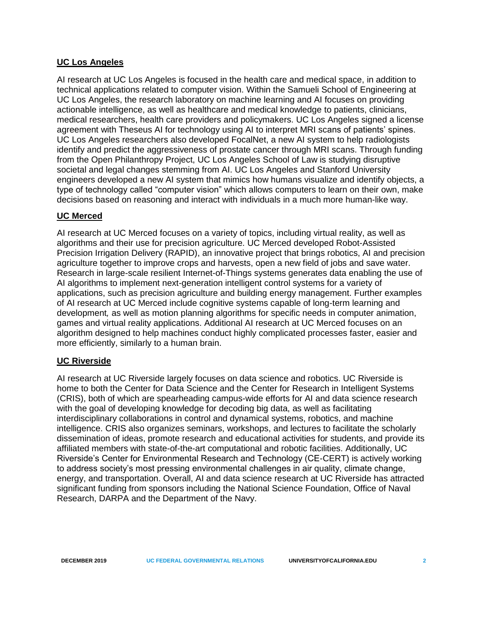### **UC Los Angeles**

AI research at UC Los Angeles is focused in the health care and medical space, in addition to technical applications related to computer vision. Within the Samueli School of Engineering at UC Los Angeles, the research laboratory on machine learning and AI focuses on providing actionable intelligence, as well as healthcare and medical knowledge to patients, clinicians, medical researchers, health care providers and policymakers. UC Los Angeles signed a license agreement with Theseus AI for technology using AI to interpret MRI scans of patients' spines. UC Los Angeles researchers also developed FocalNet, a new AI system to help radiologists identify and predict the aggressiveness of prostate cancer through MRI scans. Through funding from the Open Philanthropy Project, UC Los Angeles School of Law is studying disruptive societal and legal changes stemming from AI. UC Los Angeles and Stanford University engineers developed a new AI system that mimics how humans visualize and identify objects, a type of technology called "computer vision" which allows computers to learn on their own, make decisions based on reasoning and interact with individuals in a much more human-like way.

### **UC Merced**

AI research at UC Merced focuses on a variety of topics, including virtual reality, as well as algorithms and their use for precision agriculture. UC Merced developed Robot-Assisted Precision Irrigation Delivery (RAPID), an innovative project that brings robotics, AI and precision agriculture together to improve crops and harvests, open a new field of jobs and save water. Research in large-scale resilient Internet-of-Things systems generates data enabling the use of AI algorithms to implement next-generation intelligent control systems for a variety of applications, such as precision agriculture and building energy management. Further examples of AI research at UC Merced include cognitive systems capable of long-term learning and development*,* as well as motion planning algorithms for specific needs in computer animation, games and virtual reality applications. Additional AI research at UC Merced focuses on an algorithm designed to help machines conduct highly complicated processes faster, easier and more efficiently, similarly to a human brain.

### **UC Riverside**

AI research at UC Riverside largely focuses on data science and robotics. UC Riverside is home to both the Center for Data Science and the Center for Research in Intelligent Systems (CRIS), both of which are spearheading campus-wide efforts for AI and data science research with the goal of developing knowledge for decoding big data, as well as facilitating interdisciplinary collaborations in control and dynamical systems, robotics, and machine intelligence. CRIS also organizes seminars, workshops, and lectures to facilitate the scholarly dissemination of ideas, promote research and educational activities for students, and provide its affiliated members with state-of-the-art computational and robotic facilities. Additionally, UC Riverside's Center for Environmental Research and Technology (CE-CERT) is actively working to address society's most pressing environmental challenges in air quality, climate change, energy, and transportation. Overall, AI and data science research at UC Riverside has attracted significant funding from sponsors including the National Science Foundation, Office of Naval Research, DARPA and the Department of the Navy.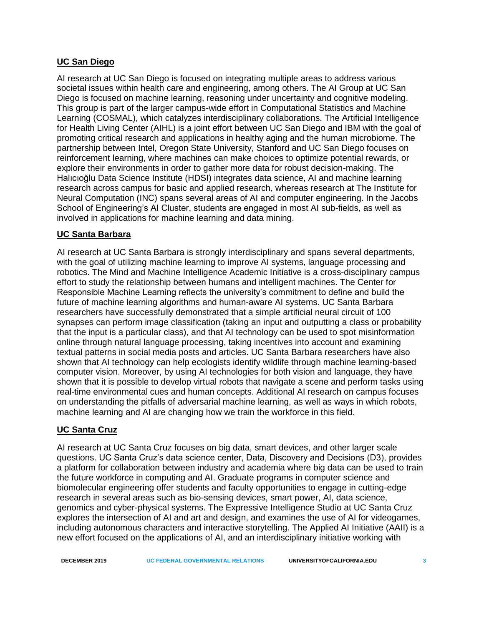## **UC San Diego**

AI research at UC San Diego is focused on integrating multiple areas to address various societal issues within health care and engineering, among others. The AI Group at UC San Diego is focused on machine learning, reasoning under uncertainty and cognitive modeling. This group is part of the larger campus-wide effort in Computational Statistics and Machine Learning (COSMAL), which catalyzes interdisciplinary collaborations. The Artificial Intelligence for Health Living Center (AIHL) is a joint effort between UC San Diego and IBM with the goal of promoting critical research and applications in healthy aging and the human microbiome. The partnership between Intel, Oregon State University, Stanford and UC San Diego focuses on reinforcement learning, where machines can make choices to optimize potential rewards, or explore their environments in order to gather more data for robust decision-making. The Halıcıoğlu Data Science Institute (HDSI) integrates data science, AI and machine learning research across campus for basic and applied research, whereas research at The Institute for Neural Computation (INC) spans several areas of AI and computer engineering. In the Jacobs School of Engineering's AI Cluster, students are engaged in most AI sub-fields, as well as involved in applications for machine learning and data mining.

## **UC Santa Barbara**

AI research at UC Santa Barbara is strongly interdisciplinary and spans several departments, with the goal of utilizing machine learning to improve AI systems, language processing and robotics. The Mind and Machine Intelligence Academic Initiative is a cross-disciplinary campus effort to study the relationship between humans and intelligent machines. The Center for Responsible Machine Learning reflects the university's commitment to define and build the future of machine learning algorithms and human-aware AI systems. UC Santa Barbara researchers have successfully demonstrated that a simple artificial neural circuit of 100 synapses can perform image classification (taking an input and outputting a class or probability that the input is a particular class), and that AI technology can be used to spot misinformation online through natural language processing, taking incentives into account and examining textual patterns in social media posts and articles. UC Santa Barbara researchers have also shown that AI technology can help ecologists identify wildlife through machine learning-based computer vision. Moreover, by using AI technologies for both vision and language, they have shown that it is possible to develop virtual robots that navigate a scene and perform tasks using real-time environmental cues and human concepts. Additional AI research on campus focuses on understanding the pitfalls of adversarial machine learning, as well as ways in which robots, machine learning and AI are changing how we train the workforce in this field.

# **UC Santa Cruz**

AI research at UC Santa Cruz focuses on big data, smart devices, and other larger scale questions. UC Santa Cruz's data science center, Data, Discovery and Decisions (D3), provides a platform for collaboration between industry and academia where big data can be used to train the future workforce in computing and AI. Graduate programs in computer science and biomolecular engineering offer students and faculty opportunities to engage in cutting-edge research in several areas such as bio-sensing devices, smart power, AI, data science, genomics and cyber-physical systems. The Expressive Intelligence Studio at UC Santa Cruz explores the intersection of AI and art and design, and examines the use of AI for videogames, including autonomous characters and interactive storytelling. The Applied AI Initiative (AAII) is a new effort focused on the applications of AI, and an interdisciplinary initiative working with